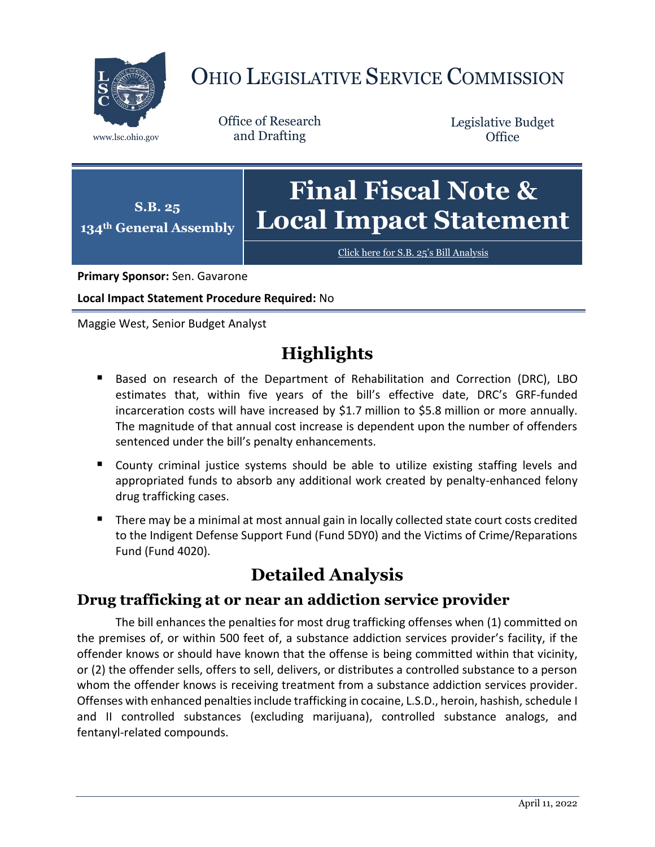

# OHIO LEGISLATIVE SERVICE COMMISSION

Office of Research www.lsc.ohio.gov and Drafting

Legislative Budget **Office** 

**S.B. 25 134th General Assembly Final Fiscal Note & Local Impact Statement**

[Click here for S.B. 25](https://www.legislature.ohio.gov/legislation/legislation-documents?id=GA134-SB-25)'s Bill Analysis

**Primary Sponsor:** Sen. Gavarone

**Local Impact Statement Procedure Required:** No

Maggie West, Senior Budget Analyst

## **Highlights**

- Based on research of the Department of Rehabilitation and Correction (DRC), LBO estimates that, within five years of the bill's effective date, DRC's GRF-funded incarceration costs will have increased by \$1.7 million to \$5.8 million or more annually. The magnitude of that annual cost increase is dependent upon the number of offenders sentenced under the bill's penalty enhancements.
- County criminal justice systems should be able to utilize existing staffing levels and appropriated funds to absorb any additional work created by penalty-enhanced felony drug trafficking cases.
- There may be a minimal at most annual gain in locally collected state court costs credited to the Indigent Defense Support Fund (Fund 5DY0) and the Victims of Crime/Reparations Fund (Fund 4020).

## **Detailed Analysis**

### **Drug trafficking at or near an addiction service provider**

The bill enhances the penalties for most drug trafficking offenses when (1) committed on the premises of, or within 500 feet of, a substance addiction services provider's facility, if the offender knows or should have known that the offense is being committed within that vicinity, or (2) the offender sells, offers to sell, delivers, or distributes a controlled substance to a person whom the offender knows is receiving treatment from a substance addiction services provider. Offenses with enhanced penalties include trafficking in cocaine, L.S.D., heroin, hashish, schedule I and II controlled substances (excluding marijuana), controlled substance analogs, and fentanyl-related compounds.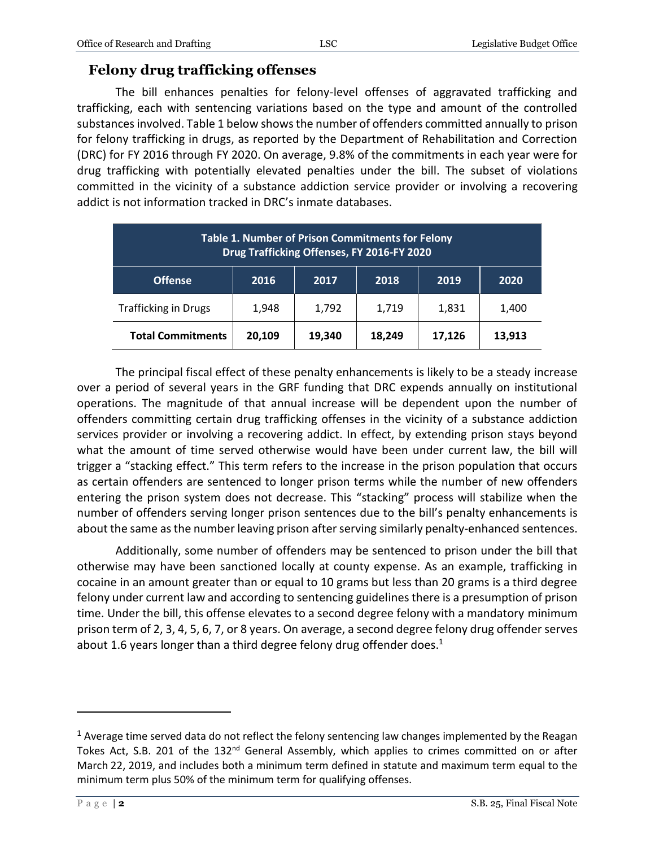#### **Felony drug trafficking offenses**

The bill enhances penalties for felony-level offenses of aggravated trafficking and trafficking, each with sentencing variations based on the type and amount of the controlled substances involved. Table 1 below shows the number of offenders committed annually to prison for felony trafficking in drugs, as reported by the Department of Rehabilitation and Correction (DRC) for FY 2016 through FY 2020. On average, 9.8% of the commitments in each year were for drug trafficking with potentially elevated penalties under the bill. The subset of violations committed in the vicinity of a substance addiction service provider or involving a recovering addict is not information tracked in DRC's inmate databases.

| Table 1. Number of Prison Commitments for Felony<br>Drug Trafficking Offenses, FY 2016-FY 2020 |        |        |        |        |        |
|------------------------------------------------------------------------------------------------|--------|--------|--------|--------|--------|
| <b>Offense</b>                                                                                 | 2016   | 2017   | 2018   | 2019   | 2020   |
| <b>Trafficking in Drugs</b>                                                                    | 1,948  | 1,792  | 1,719  | 1,831  | 1,400  |
| <b>Total Commitments</b>                                                                       | 20,109 | 19,340 | 18,249 | 17,126 | 13,913 |

The principal fiscal effect of these penalty enhancements is likely to be a steady increase over a period of several years in the GRF funding that DRC expends annually on institutional operations. The magnitude of that annual increase will be dependent upon the number of offenders committing certain drug trafficking offenses in the vicinity of a substance addiction services provider or involving a recovering addict. In effect, by extending prison stays beyond what the amount of time served otherwise would have been under current law, the bill will trigger a "stacking effect." This term refers to the increase in the prison population that occurs as certain offenders are sentenced to longer prison terms while the number of new offenders entering the prison system does not decrease. This "stacking" process will stabilize when the number of offenders serving longer prison sentences due to the bill's penalty enhancements is about the same as the number leaving prison after serving similarly penalty-enhanced sentences.

Additionally, some number of offenders may be sentenced to prison under the bill that otherwise may have been sanctioned locally at county expense. As an example, trafficking in cocaine in an amount greater than or equal to 10 grams but less than 20 grams is a third degree felony under current law and according to sentencing guidelines there is a presumption of prison time. Under the bill, this offense elevates to a second degree felony with a mandatory minimum prison term of 2, 3, 4, 5, 6, 7, or 8 years. On average, a second degree felony drug offender serves about 1.6 years longer than a third degree felony drug offender does.<sup>1</sup>

 $\overline{a}$ 

 $1$  Average time served data do not reflect the felony sentencing law changes implemented by the Reagan Tokes Act, S.B. 201 of the 132<sup>nd</sup> General Assembly, which applies to crimes committed on or after March 22, 2019, and includes both a minimum term defined in statute and maximum term equal to the minimum term plus 50% of the minimum term for qualifying offenses.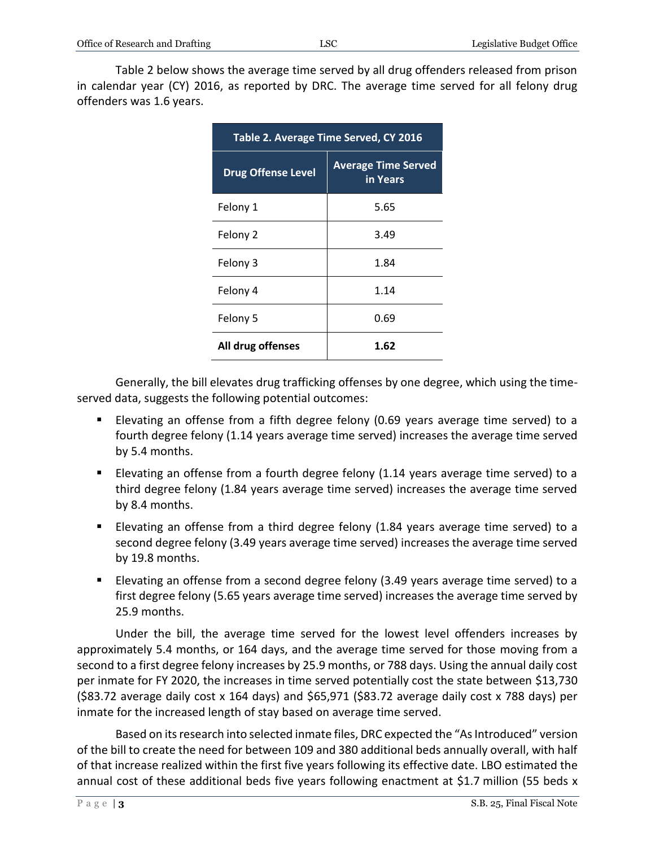Table 2 below shows the average time served by all drug offenders released from prison in calendar year (CY) 2016, as reported by DRC. The average time served for all felony drug offenders was 1.6 years.

| Table 2. Average Time Served, CY 2016 |                                        |  |  |  |
|---------------------------------------|----------------------------------------|--|--|--|
| <b>Drug Offense Level</b>             | <b>Average Time Served</b><br>in Years |  |  |  |
| Felony 1                              | 5.65                                   |  |  |  |
| Felony 2                              | 3.49                                   |  |  |  |
| Felony 3                              | 1.84                                   |  |  |  |
| Felony 4                              | 1.14                                   |  |  |  |
| Felony 5                              | 0.69                                   |  |  |  |
| All drug offenses                     | 1.62                                   |  |  |  |

Generally, the bill elevates drug trafficking offenses by one degree, which using the timeserved data, suggests the following potential outcomes:

- Elevating an offense from a fifth degree felony (0.69 years average time served) to a fourth degree felony (1.14 years average time served) increases the average time served by 5.4 months.
- Elevating an offense from a fourth degree felony (1.14 years average time served) to a third degree felony (1.84 years average time served) increases the average time served by 8.4 months.
- Elevating an offense from a third degree felony (1.84 years average time served) to a second degree felony (3.49 years average time served) increases the average time served by 19.8 months.
- Elevating an offense from a second degree felony (3.49 years average time served) to a first degree felony (5.65 years average time served) increases the average time served by 25.9 months.

Under the bill, the average time served for the lowest level offenders increases by approximately 5.4 months, or 164 days, and the average time served for those moving from a second to a first degree felony increases by 25.9 months, or 788 days. Using the annual daily cost per inmate for FY 2020, the increases in time served potentially cost the state between \$13,730 (\$83.72 average daily cost x 164 days) and \$65,971 (\$83.72 average daily cost x 788 days) per inmate for the increased length of stay based on average time served.

Based on its research into selected inmate files, DRC expected the "As Introduced" version of the bill to create the need for between 109 and 380 additional beds annually overall, with half of that increase realized within the first five years following its effective date. LBO estimated the annual cost of these additional beds five years following enactment at \$1.7 million (55 beds x